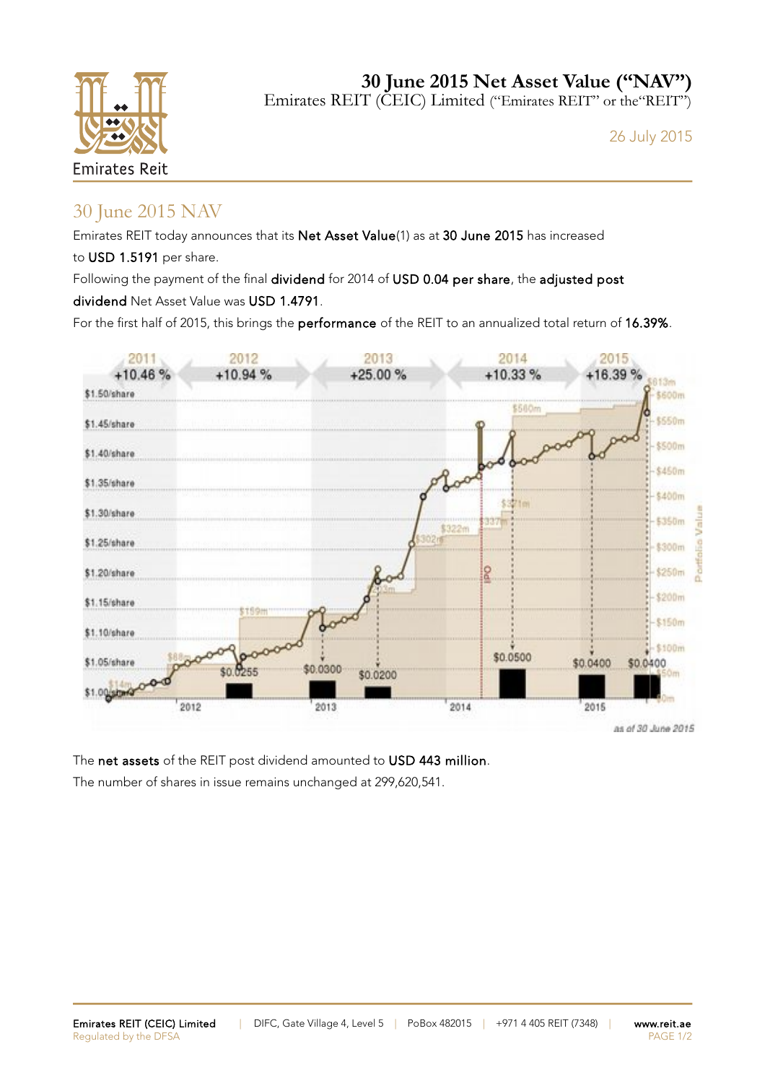

**30 June 2015 Net Asset Value ("NAV")** Emirates REIT (CEIC) Limited ("Emirates REIT" or the "REIT")

26 July 2015

## 30 June 2015 NAV

Emirates REIT today announces that its Net Asset Value(1) as at 30 June 2015 has increased to USD 1.5191 per share.

Following the payment of the final dividend for 2014 of USD 0.04 per share, the adjusted post dividend Net Asset Value was USD 1.4791.

For the first half of 2015, this brings the performance of the REIT to an annualized total return of 16.39%.



The net assets of the REIT post dividend amounted to USD 443 million. The number of shares in issue remains unchanged at 299,620,541.